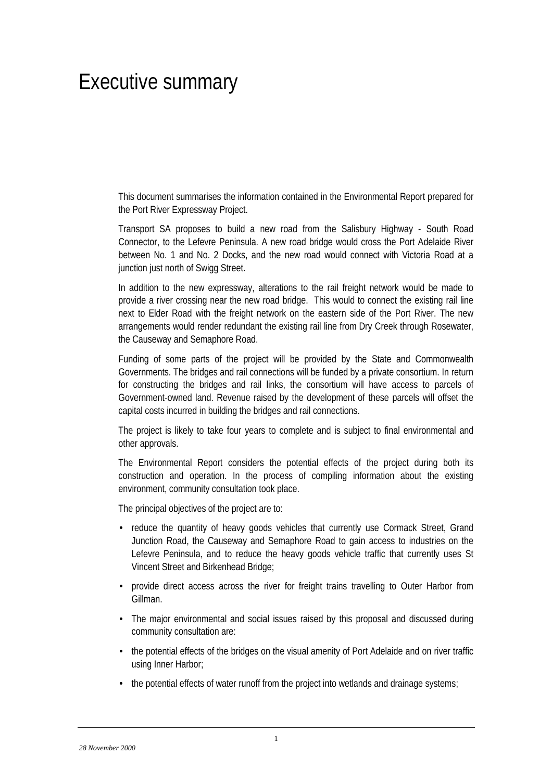# Executive summary

This document summarises the information contained in the Environmental Report prepared for the Port River Expressway Project.

Transport SA proposes to build a new road from the Salisbury Highway - South Road Connector, to the Lefevre Peninsula. A new road bridge would cross the Port Adelaide River between No. 1 and No. 2 Docks, and the new road would connect with Victoria Road at a junction just north of Swigg Street.

In addition to the new expressway, alterations to the rail freight network would be made to provide a river crossing near the new road bridge. This would to connect the existing rail line next to Elder Road with the freight network on the eastern side of the Port River. The new arrangements would render redundant the existing rail line from Dry Creek through Rosewater, the Causeway and Semaphore Road.

Funding of some parts of the project will be provided by the State and Commonwealth Governments. The bridges and rail connections will be funded by a private consortium. In return for constructing the bridges and rail links, the consortium will have access to parcels of Government-owned land. Revenue raised by the development of these parcels will offset the capital costs incurred in building the bridges and rail connections.

The project is likely to take four years to complete and is subject to final environmental and other approvals.

The Environmental Report considers the potential effects of the project during both its construction and operation. In the process of compiling information about the existing environment, community consultation took place.

The principal objectives of the project are to:

- reduce the quantity of heavy goods vehicles that currently use Cormack Street, Grand Junction Road, the Causeway and Semaphore Road to gain access to industries on the Lefevre Peninsula, and to reduce the heavy goods vehicle traffic that currently uses St Vincent Street and Birkenhead Bridge;
- provide direct access across the river for freight trains travelling to Outer Harbor from Gillman.
- The major environmental and social issues raised by this proposal and discussed during community consultation are:
- the potential effects of the bridges on the visual amenity of Port Adelaide and on river traffic using Inner Harbor;
- the potential effects of water runoff from the project into wetlands and drainage systems;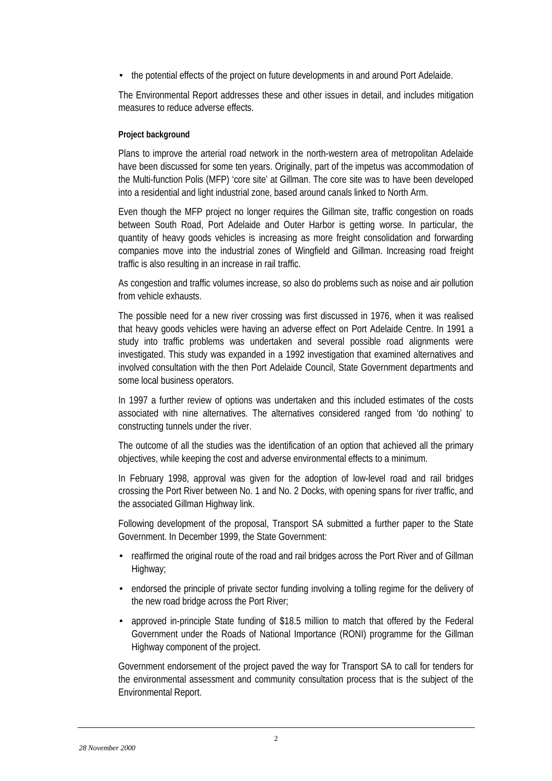• the potential effects of the project on future developments in and around Port Adelaide.

The Environmental Report addresses these and other issues in detail, and includes mitigation measures to reduce adverse effects.

## **Project background**

Plans to improve the arterial road network in the north-western area of metropolitan Adelaide have been discussed for some ten years. Originally, part of the impetus was accommodation of the Multi-function Polis (MFP) 'core site' at Gillman. The core site was to have been developed into a residential and light industrial zone, based around canals linked to North Arm.

Even though the MFP project no longer requires the Gillman site, traffic congestion on roads between South Road, Port Adelaide and Outer Harbor is getting worse. In particular, the quantity of heavy goods vehicles is increasing as more freight consolidation and forwarding companies move into the industrial zones of Wingfield and Gillman. Increasing road freight traffic is also resulting in an increase in rail traffic.

As congestion and traffic volumes increase, so also do problems such as noise and air pollution from vehicle exhausts.

The possible need for a new river crossing was first discussed in 1976, when it was realised that heavy goods vehicles were having an adverse effect on Port Adelaide Centre. In 1991 a study into traffic problems was undertaken and several possible road alignments were investigated. This study was expanded in a 1992 investigation that examined alternatives and involved consultation with the then Port Adelaide Council, State Government departments and some local business operators.

In 1997 a further review of options was undertaken and this included estimates of the costs associated with nine alternatives. The alternatives considered ranged from 'do nothing' to constructing tunnels under the river.

The outcome of all the studies was the identification of an option that achieved all the primary objectives, while keeping the cost and adverse environmental effects to a minimum.

In February 1998, approval was given for the adoption of low-level road and rail bridges crossing the Port River between No. 1 and No. 2 Docks, with opening spans for river traffic, and the associated Gillman Highway link.

Following development of the proposal, Transport SA submitted a further paper to the State Government. In December 1999, the State Government:

- reaffirmed the original route of the road and rail bridges across the Port River and of Gillman Highway;
- endorsed the principle of private sector funding involving a tolling regime for the delivery of the new road bridge across the Port River;
- approved in-principle State funding of \$18.5 million to match that offered by the Federal Government under the Roads of National Importance (RONI) programme for the Gillman Highway component of the project.

Government endorsement of the project paved the way for Transport SA to call for tenders for the environmental assessment and community consultation process that is the subject of the Environmental Report.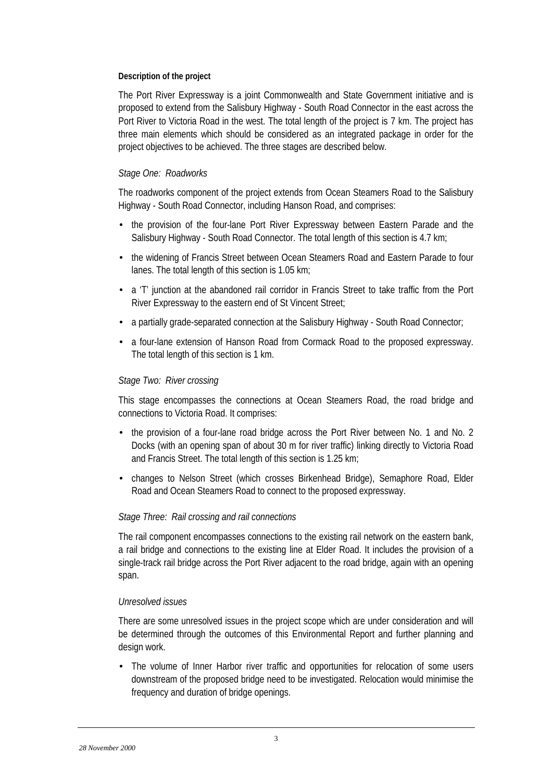## **Description of the project**

The Port River Expressway is a joint Commonwealth and State Government initiative and is proposed to extend from the Salisbury Highway - South Road Connector in the east across the Port River to Victoria Road in the west. The total length of the project is 7 km. The project has three main elements which should be considered as an integrated package in order for the project objectives to be achieved. The three stages are described below.

# *Stage One: Roadworks*

The roadworks component of the project extends from Ocean Steamers Road to the Salisbury Highway - South Road Connector, including Hanson Road, and comprises:

- the provision of the four-lane Port River Expressway between Eastern Parade and the Salisbury Highway - South Road Connector. The total length of this section is 4.7 km;
- the widening of Francis Street between Ocean Steamers Road and Eastern Parade to four lanes. The total length of this section is 1.05 km;
- a 'T' junction at the abandoned rail corridor in Francis Street to take traffic from the Port River Expressway to the eastern end of St Vincent Street;
- a partially grade-separated connection at the Salisbury Highway South Road Connector:
- a four-lane extension of Hanson Road from Cormack Road to the proposed expressway. The total length of this section is 1 km.

# *Stage Two: River crossing*

This stage encompasses the connections at Ocean Steamers Road, the road bridge and connections to Victoria Road. It comprises:

- the provision of a four-lane road bridge across the Port River between No. 1 and No. 2 Docks (with an opening span of about 30 m for river traffic) linking directly to Victoria Road and Francis Street. The total length of this section is 1.25 km;
- changes to Nelson Street (which crosses Birkenhead Bridge), Semaphore Road, Elder Road and Ocean Steamers Road to connect to the proposed expressway.

# *Stage Three: Rail crossing and rail connections*

The rail component encompasses connections to the existing rail network on the eastern bank, a rail bridge and connections to the existing line at Elder Road. It includes the provision of a single-track rail bridge across the Port River adjacent to the road bridge, again with an opening span.

# *Unresolved issues*

There are some unresolved issues in the project scope which are under consideration and will be determined through the outcomes of this Environmental Report and further planning and design work.

• The volume of Inner Harbor river traffic and opportunities for relocation of some users downstream of the proposed bridge need to be investigated. Relocation would minimise the frequency and duration of bridge openings.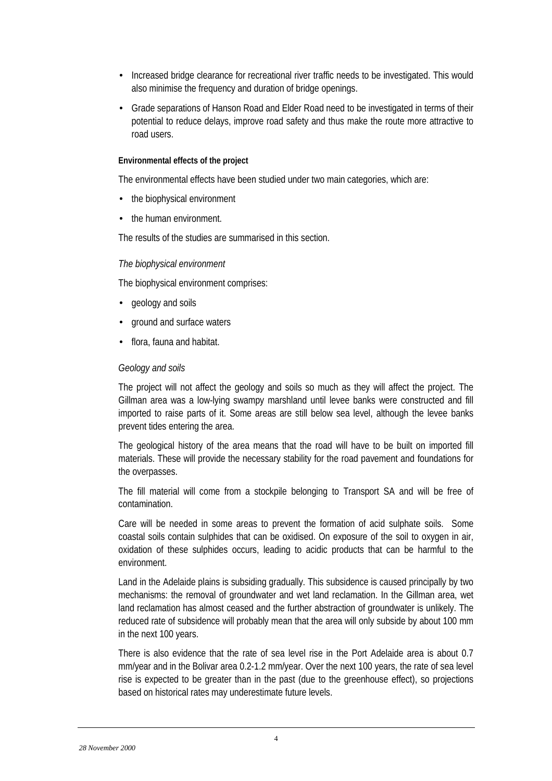- Increased bridge clearance for recreational river traffic needs to be investigated. This would also minimise the frequency and duration of bridge openings.
- Grade separations of Hanson Road and Elder Road need to be investigated in terms of their potential to reduce delays, improve road safety and thus make the route more attractive to road users.

#### **Environmental effects of the project**

The environmental effects have been studied under two main categories, which are:

- the biophysical environment
- the human environment.

The results of the studies are summarised in this section.

#### *The biophysical environment*

The biophysical environment comprises:

- geology and soils
- ground and surface waters
- flora, fauna and habitat.

#### *Geology and soils*

The project will not affect the geology and soils so much as they will affect the project. The Gillman area was a low-lying swampy marshland until levee banks were constructed and fill imported to raise parts of it. Some areas are still below sea level, although the levee banks prevent tides entering the area.

The geological history of the area means that the road will have to be built on imported fill materials. These will provide the necessary stability for the road pavement and foundations for the overpasses.

The fill material will come from a stockpile belonging to Transport SA and will be free of contamination.

Care will be needed in some areas to prevent the formation of acid sulphate soils. Some coastal soils contain sulphides that can be oxidised. On exposure of the soil to oxygen in air, oxidation of these sulphides occurs, leading to acidic products that can be harmful to the environment.

Land in the Adelaide plains is subsiding gradually. This subsidence is caused principally by two mechanisms: the removal of groundwater and wet land reclamation. In the Gillman area, wet land reclamation has almost ceased and the further abstraction of groundwater is unlikely. The reduced rate of subsidence will probably mean that the area will only subside by about 100 mm in the next 100 years.

There is also evidence that the rate of sea level rise in the Port Adelaide area is about 0.7 mm/year and in the Bolivar area 0.2-1.2 mm/year. Over the next 100 years, the rate of sea level rise is expected to be greater than in the past (due to the greenhouse effect), so projections based on historical rates may underestimate future levels.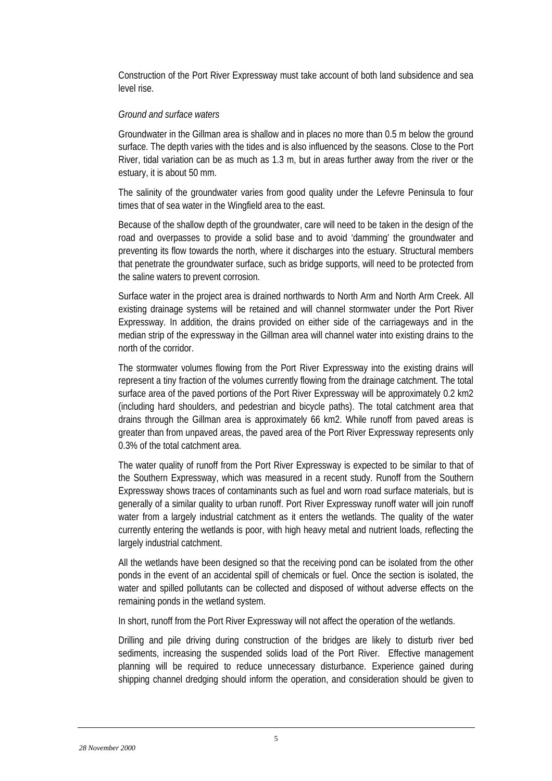Construction of the Port River Expressway must take account of both land subsidence and sea level rise.

# *Ground and surface waters*

Groundwater in the Gillman area is shallow and in places no more than 0.5 m below the ground surface. The depth varies with the tides and is also influenced by the seasons. Close to the Port River, tidal variation can be as much as 1.3 m, but in areas further away from the river or the estuary, it is about 50 mm.

The salinity of the groundwater varies from good quality under the Lefevre Peninsula to four times that of sea water in the Wingfield area to the east.

Because of the shallow depth of the groundwater, care will need to be taken in the design of the road and overpasses to provide a solid base and to avoid 'damming' the groundwater and preventing its flow towards the north, where it discharges into the estuary. Structural members that penetrate the groundwater surface, such as bridge supports, will need to be protected from the saline waters to prevent corrosion.

Surface water in the project area is drained northwards to North Arm and North Arm Creek. All existing drainage systems will be retained and will channel stormwater under the Port River Expressway. In addition, the drains provided on either side of the carriageways and in the median strip of the expressway in the Gillman area will channel water into existing drains to the north of the corridor.

The stormwater volumes flowing from the Port River Expressway into the existing drains will represent a tiny fraction of the volumes currently flowing from the drainage catchment. The total surface area of the paved portions of the Port River Expressway will be approximately 0.2 km2 (including hard shoulders, and pedestrian and bicycle paths). The total catchment area that drains through the Gillman area is approximately 66 km2. While runoff from paved areas is greater than from unpaved areas, the paved area of the Port River Expressway represents only 0.3% of the total catchment area.

The water quality of runoff from the Port River Expressway is expected to be similar to that of the Southern Expressway, which was measured in a recent study. Runoff from the Southern Expressway shows traces of contaminants such as fuel and worn road surface materials, but is generally of a similar quality to urban runoff. Port River Expressway runoff water will join runoff water from a largely industrial catchment as it enters the wetlands. The quality of the water currently entering the wetlands is poor, with high heavy metal and nutrient loads, reflecting the largely industrial catchment.

All the wetlands have been designed so that the receiving pond can be isolated from the other ponds in the event of an accidental spill of chemicals or fuel. Once the section is isolated, the water and spilled pollutants can be collected and disposed of without adverse effects on the remaining ponds in the wetland system.

In short, runoff from the Port River Expressway will not affect the operation of the wetlands.

Drilling and pile driving during construction of the bridges are likely to disturb river bed sediments, increasing the suspended solids load of the Port River. Effective management planning will be required to reduce unnecessary disturbance. Experience gained during shipping channel dredging should inform the operation, and consideration should be given to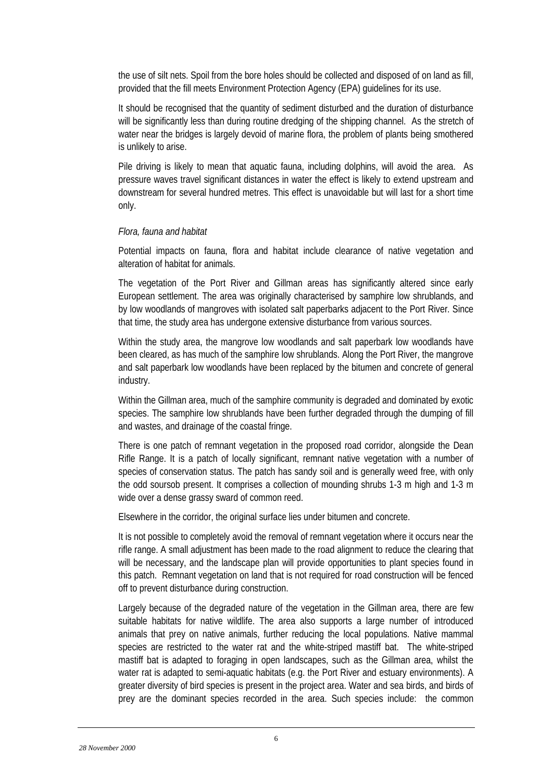the use of silt nets. Spoil from the bore holes should be collected and disposed of on land as fill, provided that the fill meets Environment Protection Agency (EPA) guidelines for its use.

It should be recognised that the quantity of sediment disturbed and the duration of disturbance will be significantly less than during routine dredging of the shipping channel. As the stretch of water near the bridges is largely devoid of marine flora, the problem of plants being smothered is unlikely to arise.

Pile driving is likely to mean that aquatic fauna, including dolphins, will avoid the area. As pressure waves travel significant distances in water the effect is likely to extend upstream and downstream for several hundred metres. This effect is unavoidable but will last for a short time only.

## *Flora, fauna and habitat*

Potential impacts on fauna, flora and habitat include clearance of native vegetation and alteration of habitat for animals.

The vegetation of the Port River and Gillman areas has significantly altered since early European settlement. The area was originally characterised by samphire low shrublands, and by low woodlands of mangroves with isolated salt paperbarks adjacent to the Port River. Since that time, the study area has undergone extensive disturbance from various sources.

Within the study area, the mangrove low woodlands and salt paperbark low woodlands have been cleared, as has much of the samphire low shrublands. Along the Port River, the mangrove and salt paperbark low woodlands have been replaced by the bitumen and concrete of general industry.

Within the Gillman area, much of the samphire community is degraded and dominated by exotic species. The samphire low shrublands have been further degraded through the dumping of fill and wastes, and drainage of the coastal fringe.

There is one patch of remnant vegetation in the proposed road corridor, alongside the Dean Rifle Range. It is a patch of locally significant, remnant native vegetation with a number of species of conservation status. The patch has sandy soil and is generally weed free, with only the odd soursob present. It comprises a collection of mounding shrubs 1-3 m high and 1-3 m wide over a dense grassy sward of common reed.

Elsewhere in the corridor, the original surface lies under bitumen and concrete.

It is not possible to completely avoid the removal of remnant vegetation where it occurs near the rifle range. A small adjustment has been made to the road alignment to reduce the clearing that will be necessary, and the landscape plan will provide opportunities to plant species found in this patch. Remnant vegetation on land that is not required for road construction will be fenced off to prevent disturbance during construction.

Largely because of the degraded nature of the vegetation in the Gillman area, there are few suitable habitats for native wildlife. The area also supports a large number of introduced animals that prey on native animals, further reducing the local populations. Native mammal species are restricted to the water rat and the white-striped mastiff bat. The white-striped mastiff bat is adapted to foraging in open landscapes, such as the Gillman area, whilst the water rat is adapted to semi-aquatic habitats (e.g. the Port River and estuary environments). A greater diversity of bird species is present in the project area. Water and sea birds, and birds of prey are the dominant species recorded in the area. Such species include: the common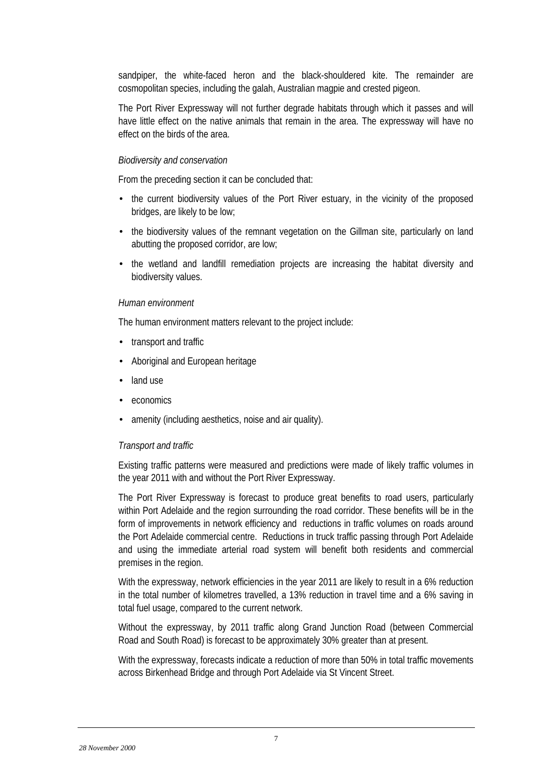sandpiper, the white-faced heron and the black-shouldered kite. The remainder are cosmopolitan species, including the galah, Australian magpie and crested pigeon.

The Port River Expressway will not further degrade habitats through which it passes and will have little effect on the native animals that remain in the area. The expressway will have no effect on the birds of the area.

## *Biodiversity and conservation*

From the preceding section it can be concluded that:

- the current biodiversity values of the Port River estuary, in the vicinity of the proposed bridges, are likely to be low;
- the biodiversity values of the remnant vegetation on the Gillman site, particularly on land abutting the proposed corridor, are low;
- the wetland and landfill remediation projects are increasing the habitat diversity and biodiversity values.

## *Human environment*

The human environment matters relevant to the project include:

- transport and traffic.
- Aboriginal and European heritage
- land use
- economics
- amenity (including aesthetics, noise and air quality).

#### *Transport and traffic*

Existing traffic patterns were measured and predictions were made of likely traffic volumes in the year 2011 with and without the Port River Expressway.

The Port River Expressway is forecast to produce great benefits to road users, particularly within Port Adelaide and the region surrounding the road corridor. These benefits will be in the form of improvements in network efficiency and reductions in traffic volumes on roads around the Port Adelaide commercial centre. Reductions in truck traffic passing through Port Adelaide and using the immediate arterial road system will benefit both residents and commercial premises in the region.

With the expressway, network efficiencies in the year 2011 are likely to result in a 6% reduction in the total number of kilometres travelled, a 13% reduction in travel time and a 6% saving in total fuel usage, compared to the current network.

Without the expressway, by 2011 traffic along Grand Junction Road (between Commercial Road and South Road) is forecast to be approximately 30% greater than at present.

With the expressway, forecasts indicate a reduction of more than 50% in total traffic movements across Birkenhead Bridge and through Port Adelaide via St Vincent Street.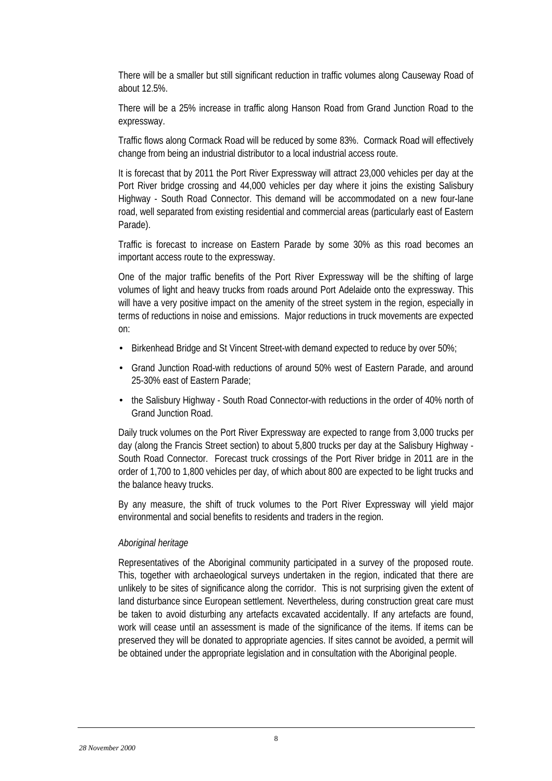There will be a smaller but still significant reduction in traffic volumes along Causeway Road of about 12.5%.

There will be a 25% increase in traffic along Hanson Road from Grand Junction Road to the expressway.

Traffic flows along Cormack Road will be reduced by some 83%. Cormack Road will effectively change from being an industrial distributor to a local industrial access route.

It is forecast that by 2011 the Port River Expressway will attract 23,000 vehicles per day at the Port River bridge crossing and 44,000 vehicles per day where it joins the existing Salisbury Highway - South Road Connector. This demand will be accommodated on a new four-lane road, well separated from existing residential and commercial areas (particularly east of Eastern Parade).

Traffic is forecast to increase on Eastern Parade by some 30% as this road becomes an important access route to the expressway.

One of the major traffic benefits of the Port River Expressway will be the shifting of large volumes of light and heavy trucks from roads around Port Adelaide onto the expressway. This will have a very positive impact on the amenity of the street system in the region, especially in terms of reductions in noise and emissions. Major reductions in truck movements are expected on:

- Birkenhead Bridge and St Vincent Street-with demand expected to reduce by over 50%;
- Grand Junction Road-with reductions of around 50% west of Eastern Parade, and around 25-30% east of Eastern Parade;
- the Salisbury Highway South Road Connector-with reductions in the order of 40% north of Grand Junction Road.

Daily truck volumes on the Port River Expressway are expected to range from 3,000 trucks per day (along the Francis Street section) to about 5,800 trucks per day at the Salisbury Highway - South Road Connector. Forecast truck crossings of the Port River bridge in 2011 are in the order of 1,700 to 1,800 vehicles per day, of which about 800 are expected to be light trucks and the balance heavy trucks.

By any measure, the shift of truck volumes to the Port River Expressway will yield major environmental and social benefits to residents and traders in the region.

# *Aboriginal heritage*

Representatives of the Aboriginal community participated in a survey of the proposed route. This, together with archaeological surveys undertaken in the region, indicated that there are unlikely to be sites of significance along the corridor. This is not surprising given the extent of land disturbance since European settlement. Nevertheless, during construction great care must be taken to avoid disturbing any artefacts excavated accidentally. If any artefacts are found, work will cease until an assessment is made of the significance of the items. If items can be preserved they will be donated to appropriate agencies. If sites cannot be avoided, a permit will be obtained under the appropriate legislation and in consultation with the Aboriginal people.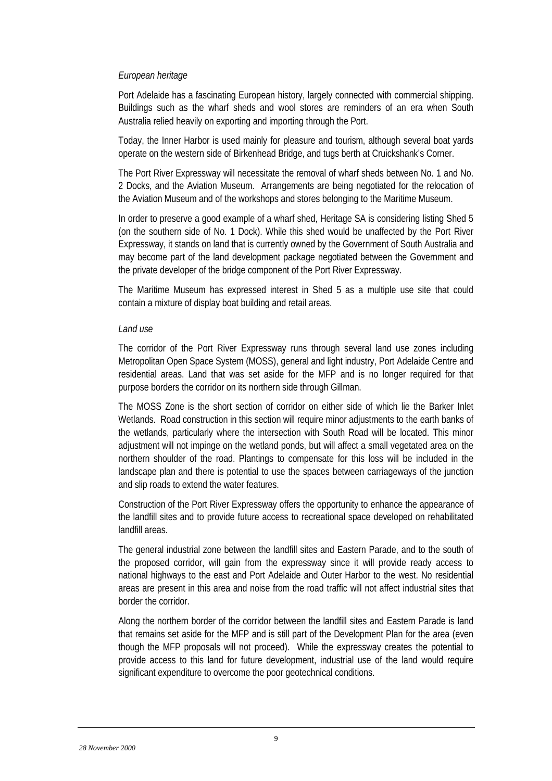# *European heritage*

Port Adelaide has a fascinating European history, largely connected with commercial shipping. Buildings such as the wharf sheds and wool stores are reminders of an era when South Australia relied heavily on exporting and importing through the Port.

Today, the Inner Harbor is used mainly for pleasure and tourism, although several boat yards operate on the western side of Birkenhead Bridge, and tugs berth at Cruickshank's Corner.

The Port River Expressway will necessitate the removal of wharf sheds between No. 1 and No. 2 Docks, and the Aviation Museum. Arrangements are being negotiated for the relocation of the Aviation Museum and of the workshops and stores belonging to the Maritime Museum.

In order to preserve a good example of a wharf shed, Heritage SA is considering listing Shed 5 (on the southern side of No. 1 Dock). While this shed would be unaffected by the Port River Expressway, it stands on land that is currently owned by the Government of South Australia and may become part of the land development package negotiated between the Government and the private developer of the bridge component of the Port River Expressway.

The Maritime Museum has expressed interest in Shed 5 as a multiple use site that could contain a mixture of display boat building and retail areas.

## *Land use*

The corridor of the Port River Expressway runs through several land use zones including Metropolitan Open Space System (MOSS), general and light industry, Port Adelaide Centre and residential areas. Land that was set aside for the MFP and is no longer required for that purpose borders the corridor on its northern side through Gillman.

The MOSS Zone is the short section of corridor on either side of which lie the Barker Inlet Wetlands. Road construction in this section will require minor adjustments to the earth banks of the wetlands, particularly where the intersection with South Road will be located. This minor adjustment will not impinge on the wetland ponds, but will affect a small vegetated area on the northern shoulder of the road. Plantings to compensate for this loss will be included in the landscape plan and there is potential to use the spaces between carriageways of the junction and slip roads to extend the water features.

Construction of the Port River Expressway offers the opportunity to enhance the appearance of the landfill sites and to provide future access to recreational space developed on rehabilitated landfill areas.

The general industrial zone between the landfill sites and Eastern Parade, and to the south of the proposed corridor, will gain from the expressway since it will provide ready access to national highways to the east and Port Adelaide and Outer Harbor to the west. No residential areas are present in this area and noise from the road traffic will not affect industrial sites that border the corridor.

Along the northern border of the corridor between the landfill sites and Eastern Parade is land that remains set aside for the MFP and is still part of the Development Plan for the area (even though the MFP proposals will not proceed). While the expressway creates the potential to provide access to this land for future development, industrial use of the land would require significant expenditure to overcome the poor geotechnical conditions.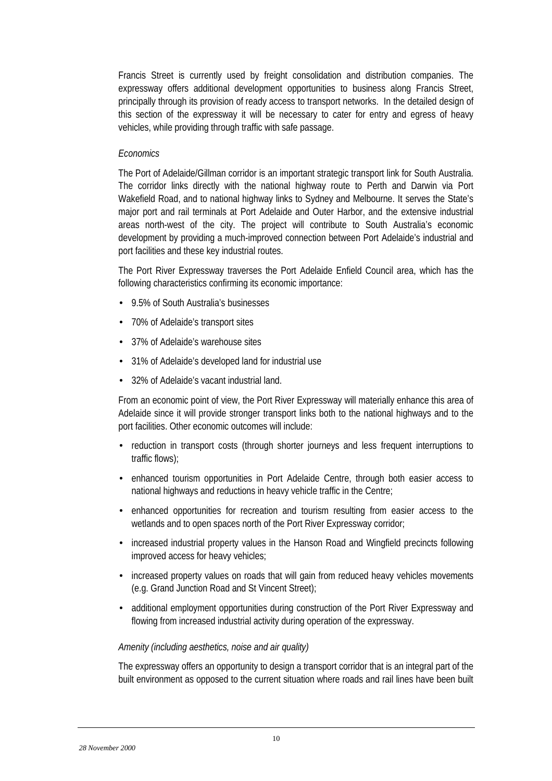Francis Street is currently used by freight consolidation and distribution companies. The expressway offers additional development opportunities to business along Francis Street, principally through its provision of ready access to transport networks. In the detailed design of this section of the expressway it will be necessary to cater for entry and egress of heavy vehicles, while providing through traffic with safe passage.

# *Economics*

The Port of Adelaide/Gillman corridor is an important strategic transport link for South Australia. The corridor links directly with the national highway route to Perth and Darwin via Port Wakefield Road, and to national highway links to Sydney and Melbourne. It serves the State's major port and rail terminals at Port Adelaide and Outer Harbor, and the extensive industrial areas north-west of the city. The project will contribute to South Australia's economic development by providing a much-improved connection between Port Adelaide's industrial and port facilities and these key industrial routes.

The Port River Expressway traverses the Port Adelaide Enfield Council area, which has the following characteristics confirming its economic importance:

- 9.5% of South Australia's businesses
- 70% of Adelaide's transport sites
- 37% of Adelaide's warehouse sites
- 31% of Adelaide's developed land for industrial use
- 32% of Adelaide's vacant industrial land.

From an economic point of view, the Port River Expressway will materially enhance this area of Adelaide since it will provide stronger transport links both to the national highways and to the port facilities. Other economic outcomes will include:

- reduction in transport costs (through shorter journeys and less frequent interruptions to traffic flows);
- enhanced tourism opportunities in Port Adelaide Centre, through both easier access to national highways and reductions in heavy vehicle traffic in the Centre;
- enhanced opportunities for recreation and tourism resulting from easier access to the wetlands and to open spaces north of the Port River Expressway corridor;
- increased industrial property values in the Hanson Road and Wingfield precincts following improved access for heavy vehicles;
- increased property values on roads that will gain from reduced heavy vehicles movements (e.g. Grand Junction Road and St Vincent Street);
- additional employment opportunities during construction of the Port River Expressway and flowing from increased industrial activity during operation of the expressway.

# *Amenity (including aesthetics, noise and air quality)*

The expressway offers an opportunity to design a transport corridor that is an integral part of the built environment as opposed to the current situation where roads and rail lines have been built